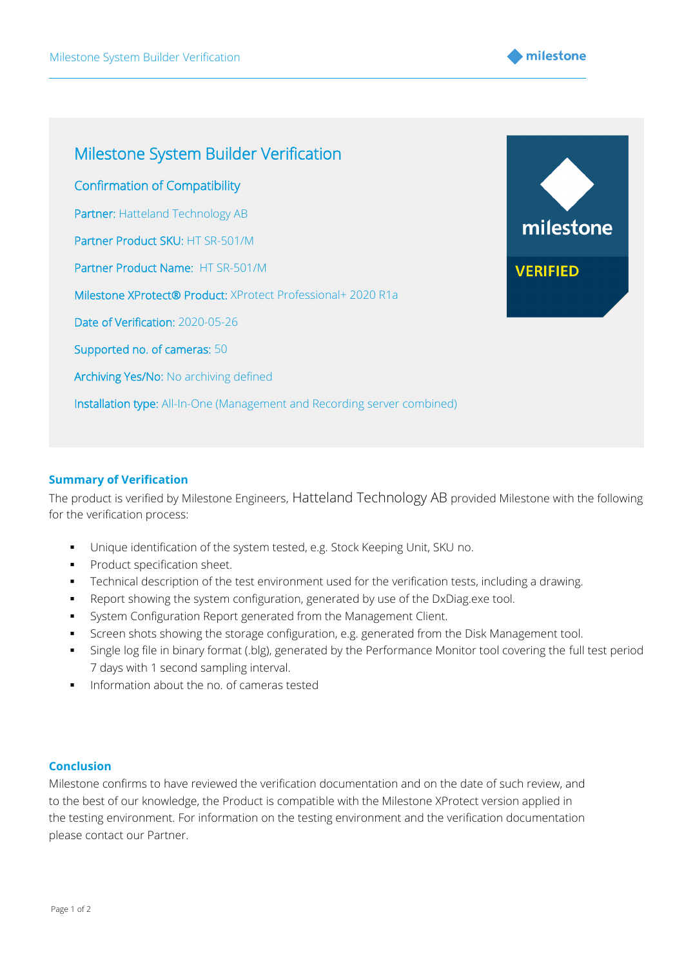



## **Summary of Verification**

The product is verified by Milestone Engineers, Hatteland Technology AB provided Milestone with the following for the verification process:

- Unique identification of the system tested, e.g. Stock Keeping Unit, SKU no.
- Product specification sheet.
- **•** Technical description of the test environment used for the verification tests, including a drawing.
- Report showing the system configuration, generated by use of the DxDiag.exe tool.
- **•** System Configuration Report generated from the Management Client.
- **•** Screen shots showing the storage configuration, e.g. generated from the Disk Management tool.
- Single log file in binary format (.blg), generated by the Performance Monitor tool covering the full test period 7 days with 1 second sampling interval.
- Information about the no. of cameras tested

## **Conclusion**

Milestone confirms to have reviewed the verification documentation and on the date of such review, and to the best of our knowledge, the Product is compatible with the Milestone XProtect version applied in the testing environment. For information on the testing environment and the verification documentation please contact our Partner.